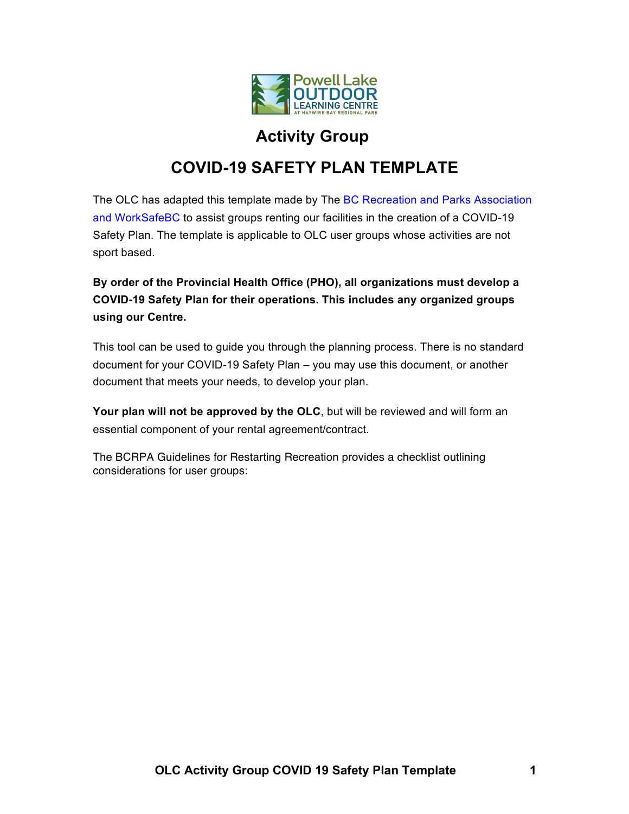

# **Activity Group**

# **COVID-19 SAFETY PLAN TEMPLATE**

The OLC has adapted this template made by The BC Recreation and Parks Association and WorkSafeBC to assist groups renting our facilities in the creation of a COVID-19 Safety Plan. The template is applicable to OLC user groups whose activities are not sport based.

**By order of the Provincial Health Office (PHO), all organizations must develop a COVID-19 Safety Plan for their operations. This includes any organized groups using our Centre.** 

This tool can be used to guide you through the planning process. There is no standard document for your COVID-19 Safety Plan – you may use this document, or another document that meets your needs, to develop your plan.

**Your plan will not be approved by the OLC**, but will be reviewed and will form an essential component of your rental agreement/contract.

The BCRPA Guidelines for Restarting Recreation provides a checklist outlining considerations for user groups: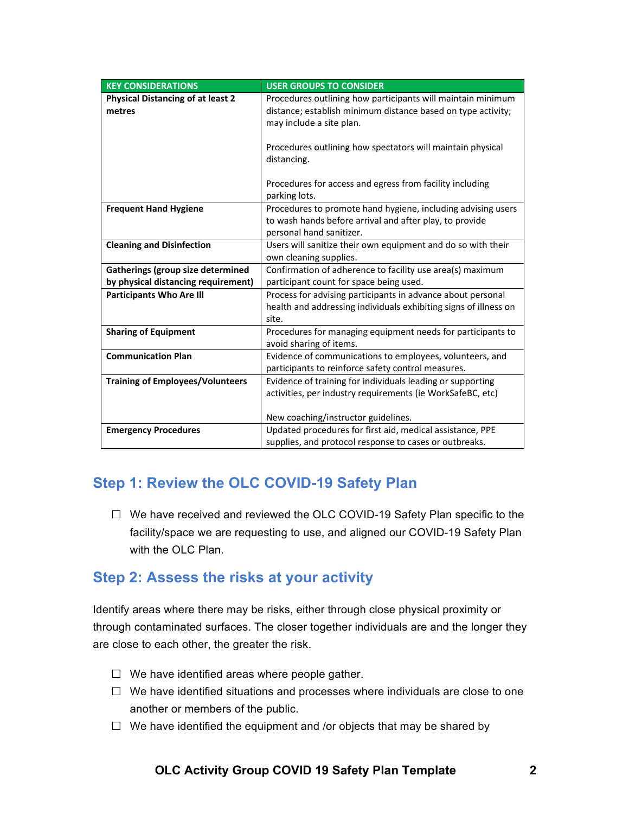| <b>KEY CONSIDERATIONS</b>                | <b>USER GROUPS TO CONSIDER</b>                                                                                           |
|------------------------------------------|--------------------------------------------------------------------------------------------------------------------------|
| <b>Physical Distancing of at least 2</b> | Procedures outlining how participants will maintain minimum                                                              |
| metres                                   | distance; establish minimum distance based on type activity;                                                             |
|                                          | may include a site plan.                                                                                                 |
|                                          |                                                                                                                          |
|                                          | Procedures outlining how spectators will maintain physical                                                               |
|                                          | distancing.                                                                                                              |
|                                          | Procedures for access and egress from facility including                                                                 |
|                                          | parking lots.                                                                                                            |
| <b>Frequent Hand Hygiene</b>             | Procedures to promote hand hygiene, including advising users                                                             |
|                                          | to wash hands before arrival and after play, to provide                                                                  |
|                                          | personal hand sanitizer.                                                                                                 |
| <b>Cleaning and Disinfection</b>         | Users will sanitize their own equipment and do so with their                                                             |
|                                          | own cleaning supplies.                                                                                                   |
| <b>Gatherings (group size determined</b> | Confirmation of adherence to facility use area(s) maximum                                                                |
| by physical distancing requirement)      | participant count for space being used.                                                                                  |
| <b>Participants Who Are III</b>          | Process for advising participants in advance about personal                                                              |
|                                          | health and addressing individuals exhibiting signs of illness on                                                         |
|                                          | site.                                                                                                                    |
| <b>Sharing of Equipment</b>              | Procedures for managing equipment needs for participants to                                                              |
| <b>Communication Plan</b>                | avoid sharing of items.                                                                                                  |
|                                          | Evidence of communications to employees, volunteers, and<br>participants to reinforce safety control measures.           |
|                                          |                                                                                                                          |
| <b>Training of Employees/Volunteers</b>  | Evidence of training for individuals leading or supporting<br>activities, per industry requirements (ie WorkSafeBC, etc) |
|                                          |                                                                                                                          |
|                                          | New coaching/instructor guidelines.                                                                                      |
| <b>Emergency Procedures</b>              | Updated procedures for first aid, medical assistance, PPE                                                                |
|                                          | supplies, and protocol response to cases or outbreaks.                                                                   |

#### **Step 1: Review the OLC COVID-19 Safety Plan** is a recommended to guide use  $\alpha$  and  $\beta$  and  $\beta$

 $\Box$  We have received and reviewed the OLC COVID-19 Safety Plan specific to the facility/space we are requesting to use, and aligned our COVID-19 Safety Plan with the OLC Plan.

#### **Step 2: Assess the risks at your activity**

Identify areas where there may be risks, either through close physical proximity or through contaminated surfaces. The closer together individuals are and the longer they are close to each other, the greater the risk.

- $\Box$  We have identified areas where people gather.
- $\Box$  We have identified situations and processes where individuals are close to one another or members of the public.
- $\Box$  We have identified the equipment and /or objects that may be shared by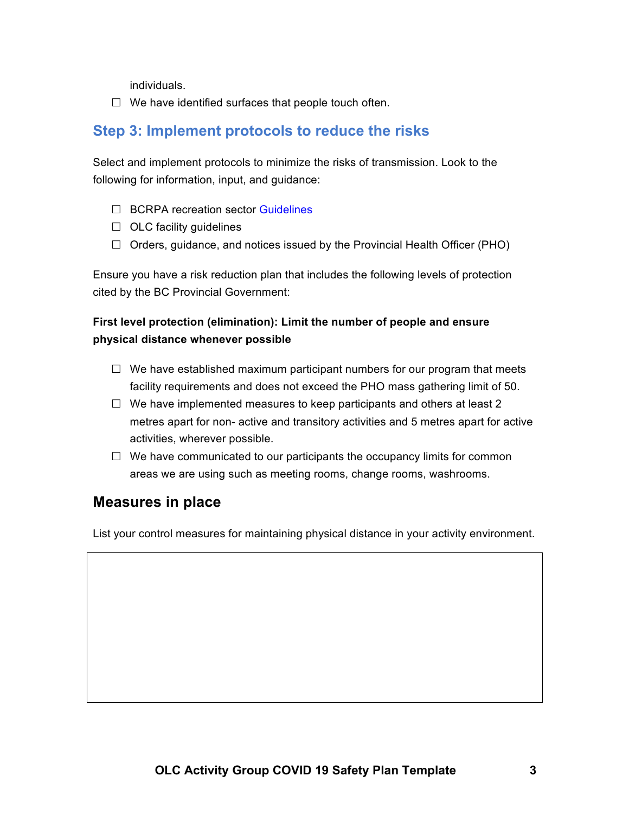individuals.

 $\Box$  We have identified surfaces that people touch often.

#### **Step 3: Implement protocols to reduce the risks**

Select and implement protocols to minimize the risks of transmission. Look to the following for information, input, and guidance:

- $\Box$  BCRPA recreation sector Guidelines
- $\Box$  OLC facility guidelines
- $\Box$  Orders, guidance, and notices issued by the Provincial Health Officer (PHO)

Ensure you have a risk reduction plan that includes the following levels of protection cited by the BC Provincial Government:

#### **First level protection (elimination): Limit the number of people and ensure physical distance whenever possible**

- $\Box$  We have established maximum participant numbers for our program that meets facility requirements and does not exceed the PHO mass gathering limit of 50.
- $\Box$  We have implemented measures to keep participants and others at least 2 metres apart for non- active and transitory activities and 5 metres apart for active activities, wherever possible.
- $\Box$  We have communicated to our participants the occupancy limits for common areas we are using such as meeting rooms, change rooms, washrooms.

#### **Measures in place**

List your control measures for maintaining physical distance in your activity environment.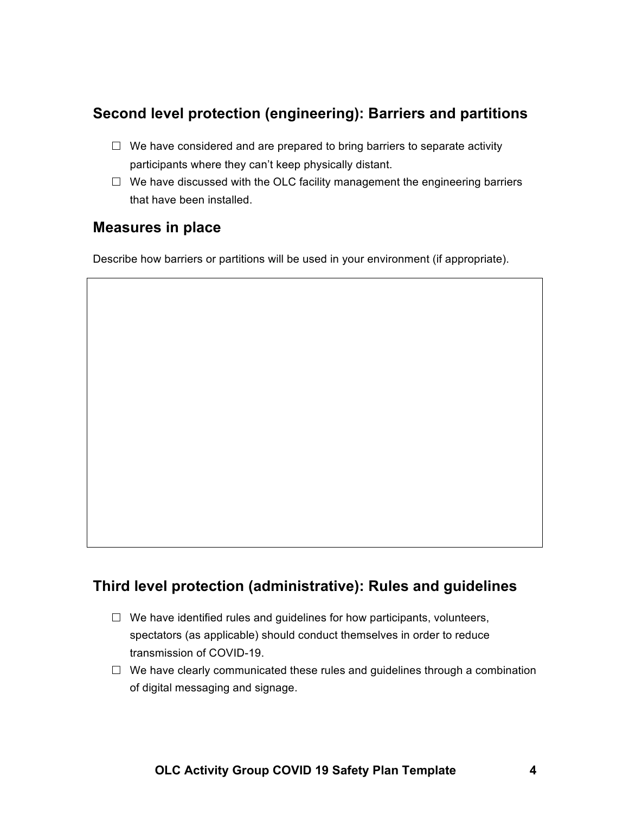## **Second level protection (engineering): Barriers and partitions**

- $\Box$  We have considered and are prepared to bring barriers to separate activity participants where they can't keep physically distant.
- $\Box$  We have discussed with the OLC facility management the engineering barriers that have been installed.

#### **Measures in place**

Describe how barriers or partitions will be used in your environment (if appropriate).

### **Third level protection (administrative): Rules and guidelines**

- $\Box$  We have identified rules and quidelines for how participants, volunteers, spectators (as applicable) should conduct themselves in order to reduce transmission of COVID-19.
- $\Box$  We have clearly communicated these rules and guidelines through a combination of digital messaging and signage.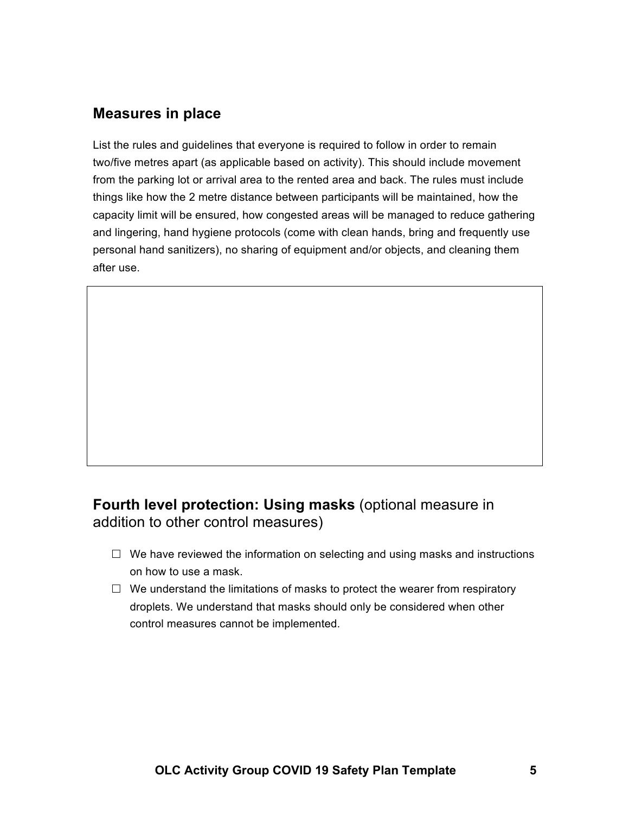### **Measures in place**

List the rules and guidelines that everyone is required to follow in order to remain two/five metres apart (as applicable based on activity). This should include movement from the parking lot or arrival area to the rented area and back. The rules must include things like how the 2 metre distance between participants will be maintained, how the capacity limit will be ensured, how congested areas will be managed to reduce gathering and lingering, hand hygiene protocols (come with clean hands, bring and frequently use personal hand sanitizers), no sharing of equipment and/or objects, and cleaning them after use.

### **Fourth level protection: Using masks** (optional measure in addition to other control measures)

- $\Box$  We have reviewed the information on selecting and using masks and instructions on how to use a mask.
- $\Box$  We understand the limitations of masks to protect the wearer from respiratory droplets. We understand that masks should only be considered when other control measures cannot be implemented.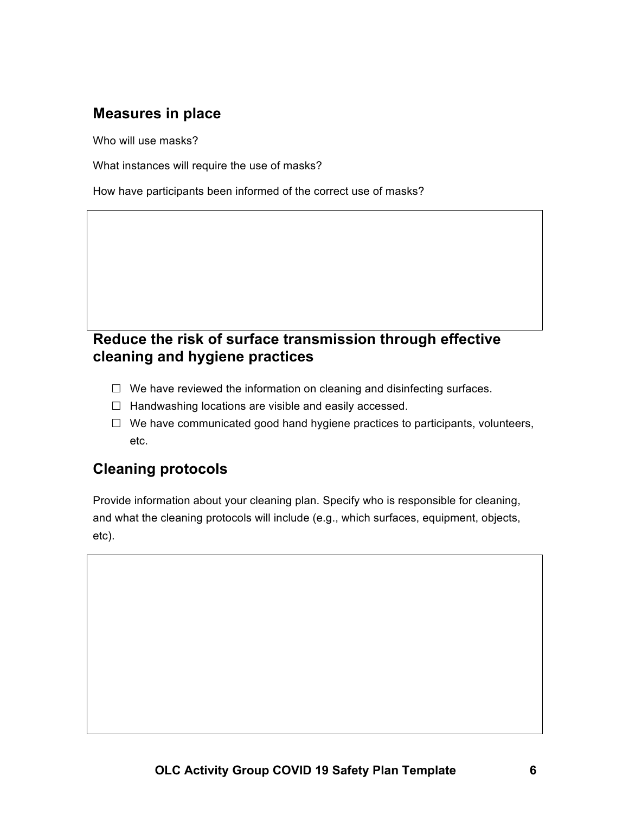## **Measures in place**

Who will use masks?

What instances will require the use of masks?

How have participants been informed of the correct use of masks?

#### **Reduce the risk of surface transmission through effective cleaning and hygiene practices**

- $\Box$  We have reviewed the information on cleaning and disinfecting surfaces.
- $\Box$  Handwashing locations are visible and easily accessed.
- $\Box$  We have communicated good hand hygiene practices to participants, volunteers, etc.

#### **Cleaning protocols**

Provide information about your cleaning plan. Specify who is responsible for cleaning, and what the cleaning protocols will include (e.g., which surfaces, equipment, objects, etc).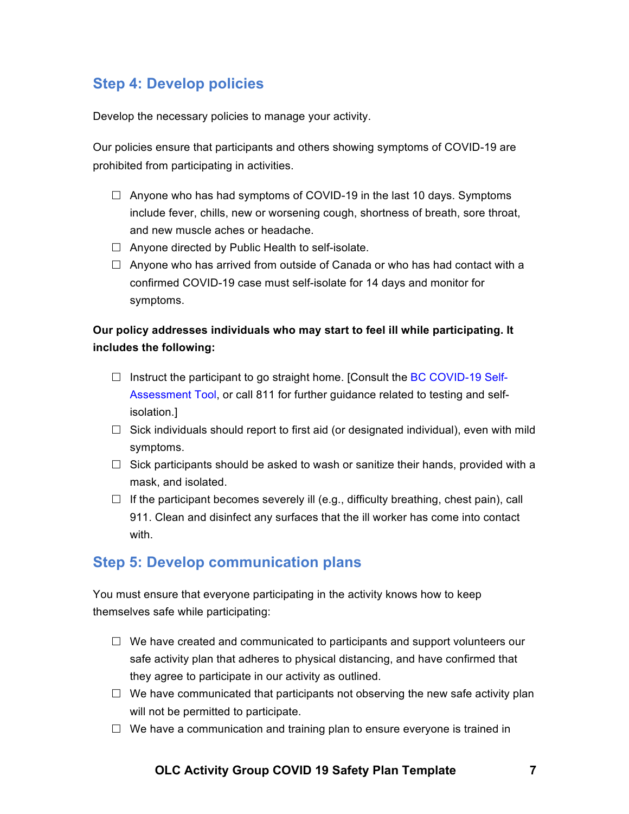## **Step 4: Develop policies**

Develop the necessary policies to manage your activity.

Our policies ensure that participants and others showing symptoms of COVID-19 are prohibited from participating in activities.

- $\Box$  Anyone who has had symptoms of COVID-19 in the last 10 days. Symptoms include fever, chills, new or worsening cough, shortness of breath, sore throat, and new muscle aches or headache.
- $\Box$  Anyone directed by Public Health to self-isolate.
- $\Box$  Anyone who has arrived from outside of Canada or who has had contact with a confirmed COVID-19 case must self-isolate for 14 days and monitor for symptoms.

#### **Our policy addresses individuals who may start to feel ill while participating. It includes the following:**

- $\Box$  Instruct the participant to go straight home. [Consult the BC COVID-19 Self-Assessment Tool, or call 811 for further guidance related to testing and selfisolation.]
- $\Box$  Sick individuals should report to first aid (or designated individual), even with mild symptoms.
- $\Box$  Sick participants should be asked to wash or sanitize their hands, provided with a mask, and isolated.
- $\Box$  If the participant becomes severely ill (e.g., difficulty breathing, chest pain), call 911. Clean and disinfect any surfaces that the ill worker has come into contact with.

#### **Step 5: Develop communication plans**

You must ensure that everyone participating in the activity knows how to keep themselves safe while participating:

- $\Box$  We have created and communicated to participants and support volunteers our safe activity plan that adheres to physical distancing, and have confirmed that they agree to participate in our activity as outlined.
- $\Box$  We have communicated that participants not observing the new safe activity plan will not be permitted to participate.
- $\Box$  We have a communication and training plan to ensure everyone is trained in

#### **OLC Activity Group COVID 19 Safety Plan Template 7**